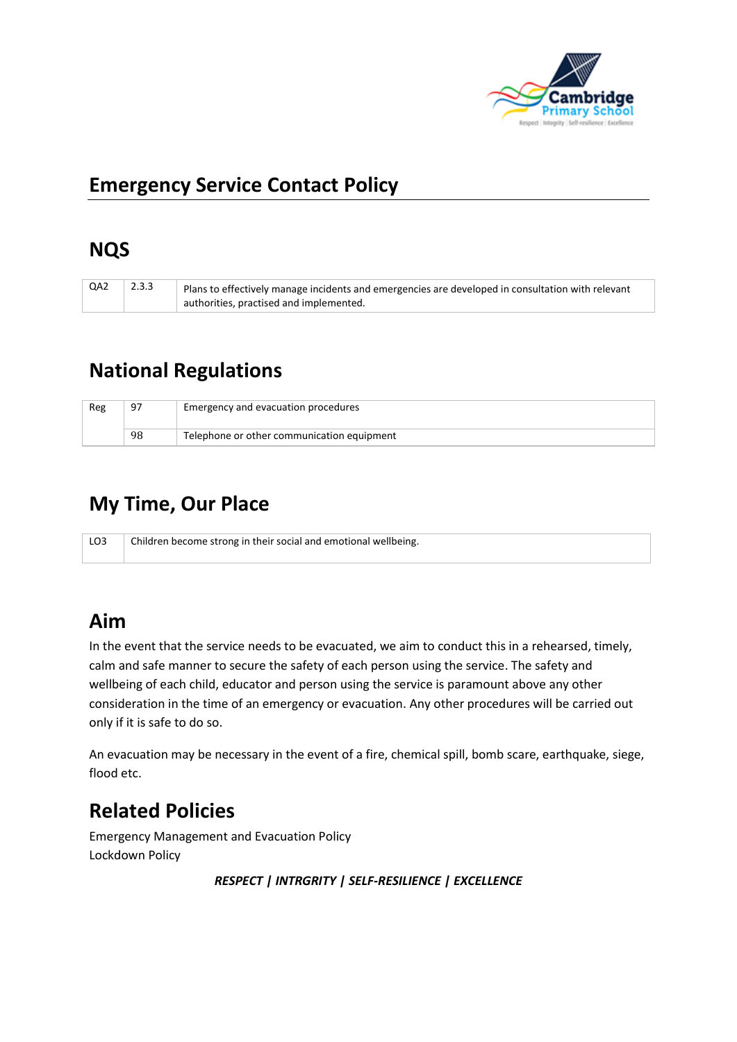

# **Emergency Service Contact Policy**

## **NQS**

| QA2 | 2.3.3 | Plans to effectively manage incidents and emergencies are developed in consultation with relevant |
|-----|-------|---------------------------------------------------------------------------------------------------|
|     |       | authorities, practised and implemented.                                                           |

# **National Regulations**

| Reg | ۵٦ | Emergency and evacuation procedures        |
|-----|----|--------------------------------------------|
|     | 98 | Telephone or other communication equipment |

# **My Time, Our Place**

LO3 | Children become strong in their social and emotional wellbeing.

## **Aim**

In the event that the service needs to be evacuated, we aim to conduct this in a rehearsed, timely, calm and safe manner to secure the safety of each person using the service. The safety and wellbeing of each child, educator and person using the service is paramount above any other consideration in the time of an emergency or evacuation. Any other procedures will be carried out only if it is safe to do so.

An evacuation may be necessary in the event of a fire, chemical spill, bomb scare, earthquake, siege, flood etc.

# **Related Policies**

Emergency Management and Evacuation Policy Lockdown Policy

*RESPECT | INTRGRITY | SELF-RESILIENCE | EXCELLENCE*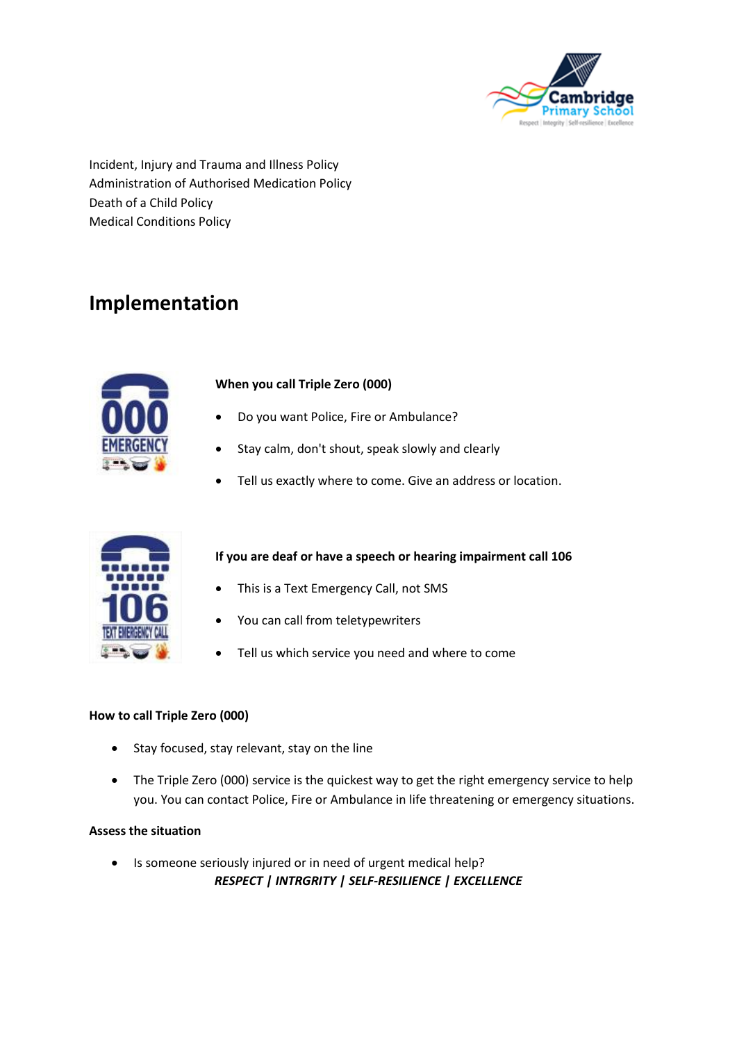

Incident, Injury and Trauma and Illness Policy Administration of Authorised Medication Policy Death of a Child Policy Medical Conditions Policy

## **Implementation**



### **When you call Triple Zero (000)**

- Do you want Police, Fire or Ambulance?
- Stay calm, don't shout, speak slowly and clearly
- Tell us exactly where to come. Give an address or location.



### **If you are deaf or have a speech or hearing impairment call 106**

- This is a Text Emergency Call, not SMS
- You can call from teletypewriters
- Tell us which service you need and where to come

#### **How to call Triple Zero (000)**

- Stay focused, stay relevant, stay on the line
- The Triple Zero (000) service is the quickest way to get the right emergency service to help you. You can contact Police, Fire or Ambulance in life threatening or emergency situations.

#### **Assess the situation**

*RESPECT | INTRGRITY | SELF-RESILIENCE | EXCELLENCE* • Is someone seriously injured or in need of urgent medical help?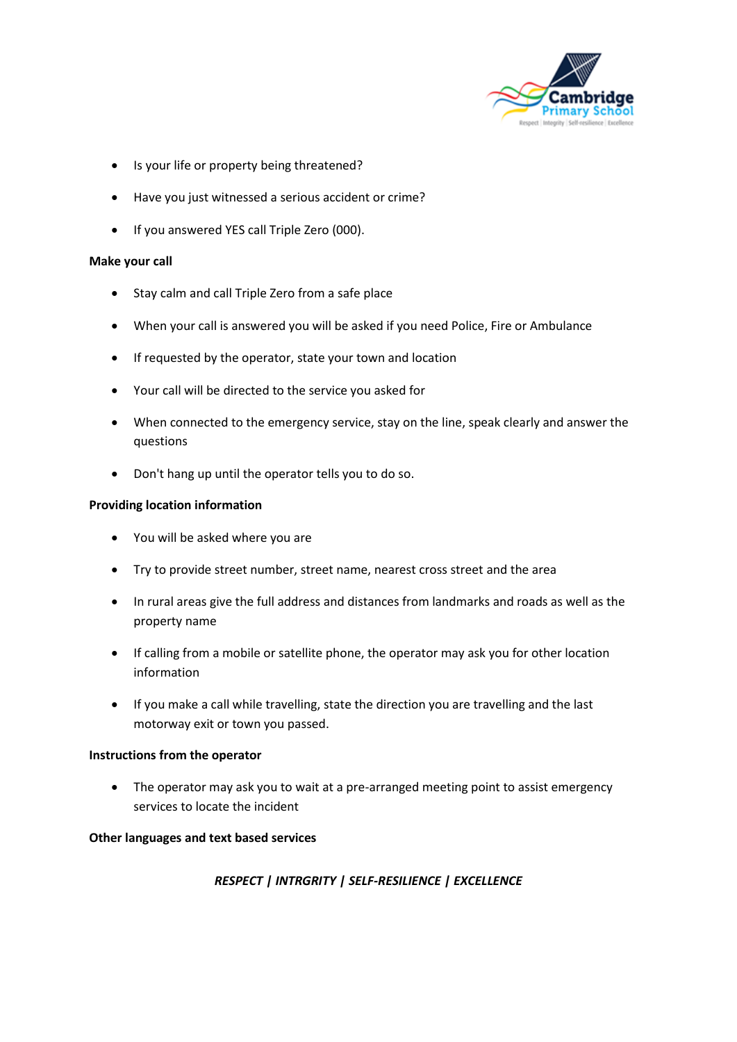

- Is your life or property being threatened?
- Have you just witnessed a serious accident or crime?
- If you answered YES call Triple Zero (000).

#### **Make your call**

- Stay calm and call Triple Zero from a safe place
- When your call is answered you will be asked if you need Police, Fire or Ambulance
- If requested by the operator, state your town and location
- Your call will be directed to the service you asked for
- When connected to the emergency service, stay on the line, speak clearly and answer the questions
- Don't hang up until the operator tells you to do so.

#### **Providing location information**

- You will be asked where you are
- Try to provide street number, street name, nearest cross street and the area
- In rural areas give the full address and distances from landmarks and roads as well as the property name
- If calling from a mobile or satellite phone, the operator may ask you for other location information
- If you make a call while travelling, state the direction you are travelling and the last motorway exit or town you passed.

#### **Instructions from the operator**

• The operator may ask you to wait at a pre-arranged meeting point to assist emergency services to locate the incident

#### **Other languages and text based services**

### *RESPECT | INTRGRITY | SELF-RESILIENCE | EXCELLENCE*